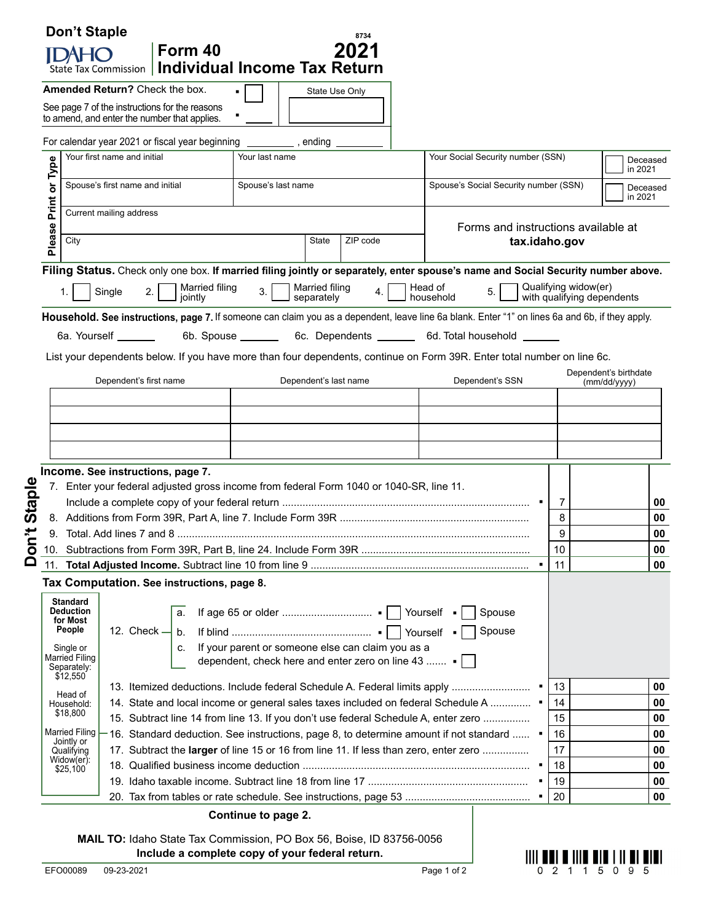|         | <b>Don't Staple</b>                            | Form 40                                                                                 |                          | 8734<br>2021                                                   |                                       |                                                                                                                                                 |                                                    |                       |
|---------|------------------------------------------------|-----------------------------------------------------------------------------------------|--------------------------|----------------------------------------------------------------|---------------------------------------|-------------------------------------------------------------------------------------------------------------------------------------------------|----------------------------------------------------|-----------------------|
|         | <b>State Tax Commission</b>                    | <b>Individual Income Tax Return</b>                                                     |                          |                                                                |                                       |                                                                                                                                                 |                                                    |                       |
|         | Amended Return? Check the box.                 |                                                                                         |                          | State Use Only                                                 |                                       |                                                                                                                                                 |                                                    |                       |
|         | See page 7 of the instructions for the reasons |                                                                                         |                          |                                                                |                                       |                                                                                                                                                 |                                                    |                       |
|         | to amend, and enter the number that applies.   |                                                                                         |                          |                                                                |                                       |                                                                                                                                                 |                                                    |                       |
|         |                                                | For calendar year 2021 or fiscal year beginning ____________, ending                    |                          |                                                                |                                       |                                                                                                                                                 |                                                    |                       |
|         | Your first name and initial                    |                                                                                         | Your last name           |                                                                |                                       | Your Social Security number (SSN)                                                                                                               |                                                    | Deceased<br>in 2021   |
| or Type | Spouse's first name and initial                |                                                                                         | Spouse's last name       |                                                                | Spouse's Social Security number (SSN) |                                                                                                                                                 | Deceased                                           |                       |
| Print   |                                                |                                                                                         |                          |                                                                |                                       |                                                                                                                                                 | in 2021                                            |                       |
|         | Current mailing address                        |                                                                                         |                          |                                                                |                                       |                                                                                                                                                 |                                                    |                       |
| Please  | City                                           |                                                                                         | ZIP code<br><b>State</b> |                                                                |                                       | Forms and instructions available at<br>tax.idaho.gov                                                                                            |                                                    |                       |
|         |                                                |                                                                                         |                          |                                                                |                                       |                                                                                                                                                 |                                                    |                       |
|         |                                                |                                                                                         |                          |                                                                |                                       | Filing Status. Check only one box. If married filing jointly or separately, enter spouse's name and Social Security number above.               |                                                    |                       |
|         | Single                                         | Married filing<br>2.<br>jointly                                                         | 3.                       | <b>Married filing</b><br>separately                            | 4.                                    | Head of<br>5.<br>household                                                                                                                      | Qualifying widow(er)<br>with qualifying dependents |                       |
|         |                                                |                                                                                         |                          |                                                                |                                       | Household. See instructions, page 7. If someone can claim you as a dependent, leave line 6a blank. Enter "1" on lines 6a and 6b, if they apply. |                                                    |                       |
|         | 6a. Yourself _______                           |                                                                                         |                          |                                                                |                                       |                                                                                                                                                 |                                                    |                       |
|         |                                                |                                                                                         | 6b. Spouse _______       |                                                                |                                       | 6c. Dependents _________ 6d. Total household _______                                                                                            |                                                    |                       |
|         |                                                |                                                                                         |                          |                                                                |                                       | List your dependents below. If you have more than four dependents, continue on Form 39R. Enter total number on line 6c.                         |                                                    | Dependent's birthdate |
|         | Dependent's first name                         |                                                                                         | Dependent's last name    |                                                                |                                       | Dependent's SSN                                                                                                                                 |                                                    | (mm/dd/yyyy)          |
|         |                                                |                                                                                         |                          |                                                                |                                       |                                                                                                                                                 |                                                    |                       |
|         |                                                |                                                                                         |                          |                                                                |                                       |                                                                                                                                                 |                                                    |                       |
|         |                                                |                                                                                         |                          |                                                                |                                       |                                                                                                                                                 |                                                    |                       |
|         |                                                |                                                                                         |                          |                                                                |                                       |                                                                                                                                                 |                                                    |                       |
|         |                                                |                                                                                         |                          |                                                                |                                       |                                                                                                                                                 |                                                    |                       |
|         | Income. See instructions, page 7.              |                                                                                         |                          |                                                                |                                       |                                                                                                                                                 |                                                    |                       |
|         |                                                | 7. Enter your federal adjusted gross income from federal Form 1040 or 1040-SR, line 11. |                          |                                                                |                                       |                                                                                                                                                 |                                                    |                       |
|         |                                                |                                                                                         |                          |                                                                |                                       |                                                                                                                                                 | 7                                                  |                       |
|         |                                                |                                                                                         |                          |                                                                |                                       |                                                                                                                                                 | 8                                                  | 00<br>00              |
|         |                                                |                                                                                         |                          |                                                                |                                       |                                                                                                                                                 | 9                                                  |                       |
|         |                                                |                                                                                         |                          |                                                                |                                       |                                                                                                                                                 | 10                                                 |                       |
|         |                                                |                                                                                         |                          |                                                                |                                       |                                                                                                                                                 | 11                                                 |                       |
|         |                                                | Tax Computation. See instructions, page 8.                                              |                          |                                                                |                                       |                                                                                                                                                 |                                                    |                       |
|         | <b>Standard</b><br><b>Deduction</b>            | a.                                                                                      |                          |                                                                |                                       | Spouse                                                                                                                                          |                                                    |                       |
|         | for Most<br>People<br>12. Check $-$            | b.                                                                                      |                          |                                                                |                                       | Spouse<br>Yourself -                                                                                                                            |                                                    |                       |
|         | Single or                                      | c.                                                                                      |                          | If your parent or someone else can claim you as a              |                                       |                                                                                                                                                 |                                                    |                       |
|         | Married Filing<br>Separately:                  |                                                                                         |                          | dependent, check here and enter zero on line 43 $\blacksquare$ |                                       |                                                                                                                                                 |                                                    | 00<br>$\bf{00}$<br>00 |
|         | \$12,550                                       |                                                                                         |                          |                                                                |                                       | 13. Itemized deductions. Include federal Schedule A. Federal limits apply                                                                       | 13                                                 | 00                    |
|         | Head of<br>Household:                          |                                                                                         |                          |                                                                |                                       | 14. State and local income or general sales taxes included on federal Schedule A                                                                | 14                                                 | 00                    |
|         | \$18,800                                       |                                                                                         |                          |                                                                |                                       | 15. Subtract line 14 from line 13. If you don't use federal Schedule A, enter zero                                                              | 15                                                 | 00                    |
|         | <b>Married Filing</b>                          |                                                                                         |                          |                                                                |                                       | 16. Standard deduction. See instructions, page 8, to determine amount if not standard                                                           | 16                                                 | 00                    |
|         | Jointly or<br>Qualifying                       |                                                                                         |                          |                                                                |                                       | 17. Subtract the larger of line 15 or 16 from line 11. If less than zero, enter zero                                                            | 17                                                 | 00                    |
|         | Widow(er):<br>\$25,100                         |                                                                                         |                          |                                                                |                                       |                                                                                                                                                 | 18                                                 | 00                    |
|         |                                                |                                                                                         |                          |                                                                |                                       |                                                                                                                                                 | 19<br>20                                           | 00<br>00              |

**MAIL TO:** Idaho State Tax Commission, PO Box 56, Boise, ID 83756-0056 **Include a complete copy of your federal return.**